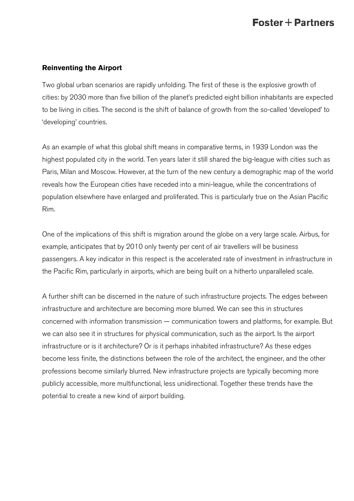#### **Reinventing the Airport**

Two global urban scenarios are rapidly unfolding. The first of these is the explosive growth of cities: by 2030 more than five billion of the planet's predicted eight billion inhabitants are expected to be living in cities. The second is the shift of balance of growth from the so-called 'developed' to 'developing' countries.

As an example of what this global shift means in comparative terms, in 1939 London was the highest populated city in the world. Ten years later it still shared the big-league with cities such as Paris, Milan and Moscow. However, at the turn of the new century a demographic map of the world reveals how the European cities have receded into a mini-league, while the concentrations of population elsewhere have enlarged and proliferated. This is particularly true on the Asian Pacific Rim.

One of the implications of this shift is migration around the globe on a very large scale. Airbus, for example, anticipates that by 2010 only twenty per cent of air travellers will be business passengers. A key indicator in this respect is the accelerated rate of investment in infrastructure in the Pacific Rim, particularly in airports, which are being built on a hitherto unparalleled scale.

A further shift can be discerned in the nature of such infrastructure projects. The edges between infrastructure and architecture are becoming more blurred. We can see this in structures concerned with information transmission — communication towers and platforms, for example. But we can also see it in structures for physical communication, such as the airport. Is the airport infrastructure or is it architecture? Or is it perhaps inhabited infrastructure? As these edges become less finite, the distinctions between the role of the architect, the engineer, and the other professions become similarly blurred. New infrastructure projects are typically becoming more publicly accessible, more multifunctional, less unidirectional. Together these trends have the potential to create a new kind of airport building.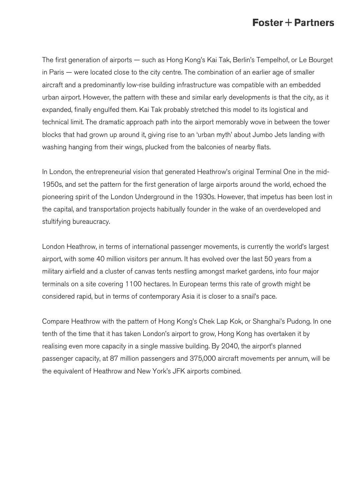The first generation of airports — such as Hong Kong's Kai Tak, Berlin's Tempelhof, or Le Bourget in Paris — were located close to the city centre. The combination of an earlier age of smaller aircraft and a predominantly low-rise building infrastructure was compatible with an embedded urban airport. However, the pattern with these and similar early developments is that the city, as it expanded, finally engulfed them. Kai Tak probably stretched this model to its logistical and technical limit. The dramatic approach path into the airport memorably wove in between the tower blocks that had grown up around it, giving rise to an 'urban myth' about Jumbo Jets landing with washing hanging from their wings, plucked from the balconies of nearby flats.

In London, the entrepreneurial vision that generated Heathrow's original Terminal One in the mid-1950s, and set the pattern for the first generation of large airports around the world, echoed the pioneering spirit of the London Underground in the 1930s. However, that impetus has been lost in the capital, and transportation projects habitually founder in the wake of an overdeveloped and stultifying bureaucracy.

London Heathrow, in terms of international passenger movements, is currently the world's largest airport, with some 40 million visitors per annum. It has evolved over the last 50 years from a military airfield and a cluster of canvas tents nestling amongst market gardens, into four major terminals on a site covering 1100 hectares. In European terms this rate of growth might be considered rapid, but in terms of contemporary Asia it is closer to a snail's pace.

Compare Heathrow with the pattern of Hong Kong's Chek Lap Kok, or Shanghai's Pudong. In one tenth of the time that it has taken London's airport to grow, Hong Kong has overtaken it by realising even more capacity in a single massive building. By 2040, the airport's planned passenger capacity, at 87 million passengers and 375,000 aircraft movements per annum, will be the equivalent of Heathrow and New York's JFK airports combined.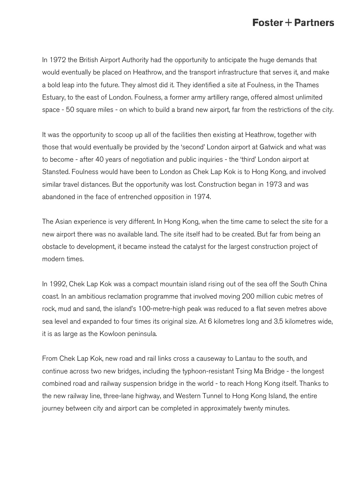In 1972 the British Airport Authority had the opportunity to anticipate the huge demands that would eventually be placed on Heathrow, and the transport infrastructure that serves it, and make a bold leap into the future. They almost did it. They identified a site at Foulness, in the Thames Estuary, to the east of London. Foulness, a former army artillery range, offered almost unlimited space - 50 square miles - on which to build a brand new airport, far from the restrictions of the city.

It was the opportunity to scoop up all of the facilities then existing at Heathrow, together with those that would eventually be provided by the 'second' London airport at Gatwick and what was to become - after 40 years of negotiation and public inquiries - the 'third' London airport at Stansted. Foulness would have been to London as Chek Lap Kok is to Hong Kong, and involved similar travel distances. But the opportunity was lost. Construction began in 1973 and was abandoned in the face of entrenched opposition in 1974.

The Asian experience is very different. In Hong Kong, when the time came to select the site for a new airport there was no available land. The site itself had to be created. But far from being an obstacle to development, it became instead the catalyst for the largest construction project of modern times.

In 1992, Chek Lap Kok was a compact mountain island rising out of the sea off the South China coast. In an ambitious reclamation programme that involved moving 200 million cubic metres of rock, mud and sand, the island's 100-metre-high peak was reduced to a flat seven metres above sea level and expanded to four times its original size. At 6 kilometres long and 3.5 kilometres wide, it is as large as the Kowloon peninsula.

From Chek Lap Kok, new road and rail links cross a causeway to Lantau to the south, and continue across two new bridges, including the typhoon-resistant Tsing Ma Bridge - the longest combined road and railway suspension bridge in the world - to reach Hong Kong itself. Thanks to the new railway line, three-lane highway, and Western Tunnel to Hong Kong Island, the entire journey between city and airport can be completed in approximately twenty minutes.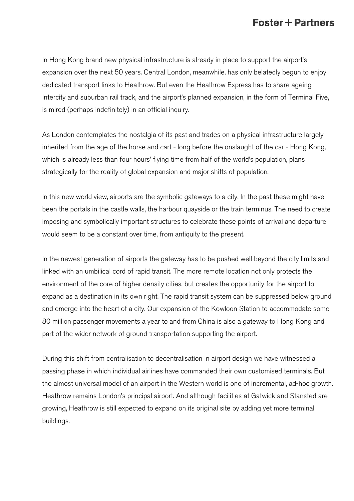In Hong Kong brand new physical infrastructure is already in place to support the airport's expansion over the next 50 years. Central London, meanwhile, has only belatedly begun to enjoy dedicated transport links to Heathrow. But even the Heathrow Express has to share ageing Intercity and suburban rail track, and the airport's planned expansion, in the form of Terminal Five, is mired (perhaps indefinitely) in an official inquiry.

As London contemplates the nostalgia of its past and trades on a physical infrastructure largely inherited from the age of the horse and cart - long before the onslaught of the car - Hong Kong, which is already less than four hours' flying time from half of the world's population, plans strategically for the reality of global expansion and major shifts of population.

In this new world view, airports are the symbolic gateways to a city. In the past these might have been the portals in the castle walls, the harbour quayside or the train terminus. The need to create imposing and symbolically important structures to celebrate these points of arrival and departure would seem to be a constant over time, from antiquity to the present.

In the newest generation of airports the gateway has to be pushed well beyond the city limits and linked with an umbilical cord of rapid transit. The more remote location not only protects the environment of the core of higher density cities, but creates the opportunity for the airport to expand as a destination in its own right. The rapid transit system can be suppressed below ground and emerge into the heart of a city. Our expansion of the Kowloon Station to accommodate some 80 million passenger movements a year to and from China is also a gateway to Hong Kong and part of the wider network of ground transportation supporting the airport.

During this shift from centralisation to decentralisation in airport design we have witnessed a passing phase in which individual airlines have commanded their own customised terminals. But the almost universal model of an airport in the Western world is one of incremental, ad-hoc growth. Heathrow remains London's principal airport. And although facilities at Gatwick and Stansted are growing, Heathrow is still expected to expand on its original site by adding yet more terminal buildings.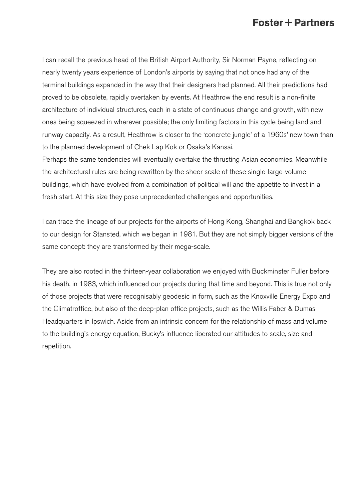I can recall the previous head of the British Airport Authority, Sir Norman Payne, reflecting on nearly twenty years experience of London's airports by saying that not once had any of the terminal buildings expanded in the way that their designers had planned. All their predictions had proved to be obsolete, rapidly overtaken by events. At Heathrow the end result is a non-finite architecture of individual structures, each in a state of continuous change and growth, with new ones being squeezed in wherever possible; the only limiting factors in this cycle being land and runway capacity. As a result, Heathrow is closer to the 'concrete jungle' of a 1960s' new town than to the planned development of Chek Lap Kok or Osaka's Kansai.

Perhaps the same tendencies will eventually overtake the thrusting Asian economies. Meanwhile the architectural rules are being rewritten by the sheer scale of these single-large-volume buildings, which have evolved from a combination of political will and the appetite to invest in a fresh start. At this size they pose unprecedented challenges and opportunities.

I can trace the lineage of our projects for the airports of Hong Kong, Shanghai and Bangkok back to our design for Stansted, which we began in 1981. But they are not simply bigger versions of the same concept: they are transformed by their mega-scale.

They are also rooted in the thirteen-year collaboration we enjoyed with Buckminster Fuller before his death, in 1983, which influenced our projects during that time and beyond. This is true not only of those projects that were recognisably geodesic in form, such as the Knoxville Energy Expo and the Climatroffice, but also of the deep-plan office projects, such as the Willis Faber & Dumas Headquarters in Ipswich. Aside from an intrinsic concern for the relationship of mass and volume to the building's energy equation, Bucky's influence liberated our attitudes to scale, size and repetition.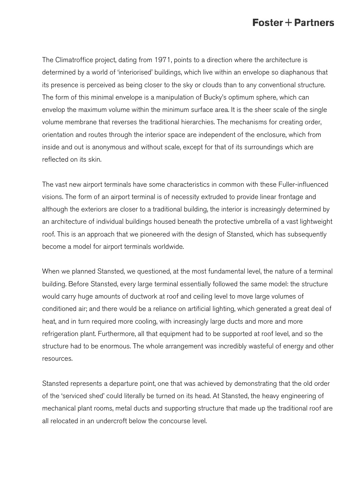The Climatroffice project, dating from 1971, points to a direction where the architecture is determined by a world of 'interiorised' buildings, which live within an envelope so diaphanous that its presence is perceived as being closer to the sky or clouds than to any conventional structure. The form of this minimal envelope is a manipulation of Bucky's optimum sphere, which can envelop the maximum volume within the minimum surface area. It is the sheer scale of the single volume membrane that reverses the traditional hierarchies. The mechanisms for creating order, orientation and routes through the interior space are independent of the enclosure, which from inside and out is anonymous and without scale, except for that of its surroundings which are reflected on its skin.

The vast new airport terminals have some characteristics in common with these Fuller-influenced visions. The form of an airport terminal is of necessity extruded to provide linear frontage and although the exteriors are closer to a traditional building, the interior is increasingly determined by an architecture of individual buildings housed beneath the protective umbrella of a vast lightweight roof. This is an approach that we pioneered with the design of Stansted, which has subsequently become a model for airport terminals worldwide.

When we planned Stansted, we questioned, at the most fundamental level, the nature of a terminal building. Before Stansted, every large terminal essentially followed the same model: the structure would carry huge amounts of ductwork at roof and ceiling level to move large volumes of conditioned air; and there would be a reliance on artificial lighting, which generated a great deal of heat, and in turn required more cooling, with increasingly large ducts and more and more refrigeration plant. Furthermore, all that equipment had to be supported at roof level, and so the structure had to be enormous. The whole arrangement was incredibly wasteful of energy and other resources.

Stansted represents a departure point, one that was achieved by demonstrating that the old order of the 'serviced shed' could literally be turned on its head. At Stansted, the heavy engineering of mechanical plant rooms, metal ducts and supporting structure that made up the traditional roof are all relocated in an undercroft below the concourse level.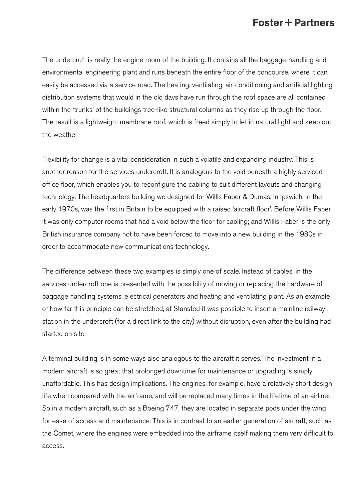The undercroft is really the engine room of the building. It contains all the baggage-handling and environmental engineering plant and runs beneath the entire floor of the concourse, where it can easily be accessed via a service road. The heating, ventilating, air-conditioning and artificial lighting distribution systems that would in the old days have run through the roof space are all contained within the 'trunks' of the buildings tree-like structural columns as they rise up through the floor. The result is a lightweight membrane roof, which is freed simply to let in natural light and keep out the weather.

Flexibility for change is a vital consideration in such a volatile and expanding industry. This is another reason for the services undercroft. It is analogous to the void beneath a highly serviced office floor, which enables you to reconfigure the cabling to suit different layouts and changing technology. The headquarters building we designed for Willis Faber & Dumas, in Ipswich, in the early 1970s, was the first in Britain to be equipped with a raised 'aircraft floor'. Before Willis Faber it was only computer rooms that had a void below the floor for cabling; and Willis Faber is the only British insurance company not to have been forced to move into a new building in the 1980s in order to accommodate new communications technology.

The difference between these two examples is simply one of scale. Instead of cables, in the services undercroft one is presented with the possibility of moving or replacing the hardware of baggage handling systems, electrical generators and heating and ventilating plant. As an example of how far this principle can be stretched, at Stansted it was possible to insert a mainline railway station in the undercroft (for a direct link to the city) without disruption, even after the building had started on site.

A terminal building is in some ways also analogous to the aircraft it serves. The investment in a modern aircraft is so great that prolonged downtime for maintenance or upgrading is simply unaffordable. This has design implications. The engines, for example, have a relatively short design life when compared with the airframe, and will be replaced many times in the lifetime of an airliner. So in a modern aircraft, such as a Boeing 747, they are located in separate pods under the wing for ease of access and maintenance. This is in contrast to an earlier generation of aircraft, such as the Comet, where the engines were embedded into the airframe itself making them very difficult to access.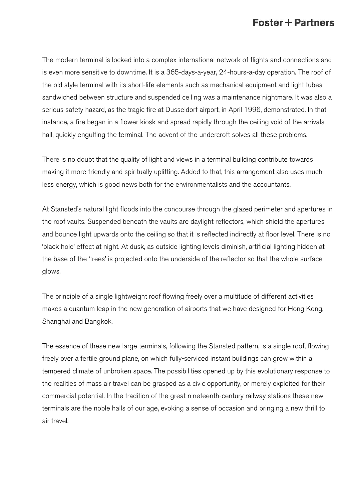The modern terminal is locked into a complex international network of flights and connections and is even more sensitive to downtime. It is a 365-days-a-year, 24-hours-a-day operation. The roof of the old style terminal with its short-life elements such as mechanical equipment and light tubes sandwiched between structure and suspended ceiling was a maintenance nightmare. It was also a serious safety hazard, as the tragic fire at Dusseldorf airport, in April 1996, demonstrated. In that instance, a fire began in a flower kiosk and spread rapidly through the ceiling void of the arrivals hall, quickly engulfing the terminal. The advent of the undercroft solves all these problems.

There is no doubt that the quality of light and views in a terminal building contribute towards making it more friendly and spiritually uplifting. Added to that, this arrangement also uses much less energy, which is good news both for the environmentalists and the accountants.

At Stansted's natural light floods into the concourse through the glazed perimeter and apertures in the roof vaults. Suspended beneath the vaults are daylight reflectors, which shield the apertures and bounce light upwards onto the ceiling so that it is reflected indirectly at floor level. There is no 'black hole' effect at night. At dusk, as outside lighting levels diminish, artificial lighting hidden at the base of the 'trees' is projected onto the underside of the reflector so that the whole surface glows.

The principle of a single lightweight roof flowing freely over a multitude of different activities makes a quantum leap in the new generation of airports that we have designed for Hong Kong, Shanghai and Bangkok.

The essence of these new large terminals, following the Stansted pattern, is a single roof, flowing freely over a fertile ground plane, on which fully-serviced instant buildings can grow within a tempered climate of unbroken space. The possibilities opened up by this evolutionary response to the realities of mass air travel can be grasped as a civic opportunity, or merely exploited for their commercial potential. In the tradition of the great nineteenth-century railway stations these new terminals are the noble halls of our age, evoking a sense of occasion and bringing a new thrill to air travel.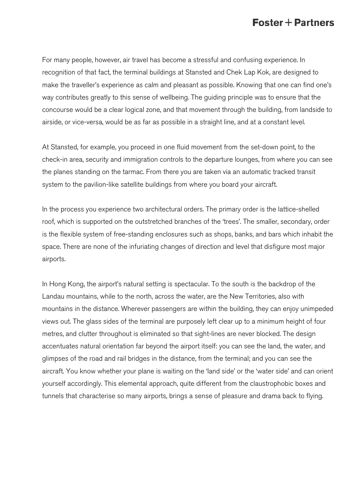For many people, however, air travel has become a stressful and confusing experience. In recognition of that fact, the terminal buildings at Stansted and Chek Lap Kok, are designed to make the traveller's experience as calm and pleasant as possible. Knowing that one can find one's way contributes greatly to this sense of wellbeing. The guiding principle was to ensure that the concourse would be a clear logical zone, and that movement through the building, from landside to airside, or vice-versa, would be as far as possible in a straight line, and at a constant level.

At Stansted, for example, you proceed in one fluid movement from the set-down point, to the check-in area, security and immigration controls to the departure lounges, from where you can see the planes standing on the tarmac. From there you are taken via an automatic tracked transit system to the pavilion-like satellite buildings from where you board your aircraft.

In the process you experience two architectural orders. The primary order is the lattice-shelled roof, which is supported on the outstretched branches of the 'trees'. The smaller, secondary, order is the flexible system of free-standing enclosures such as shops, banks, and bars which inhabit the space. There are none of the infuriating changes of direction and level that disfigure most major airports.

In Hong Kong, the airport's natural setting is spectacular. To the south is the backdrop of the Landau mountains, while to the north, across the water, are the New Territories, also with mountains in the distance. Wherever passengers are within the building, they can enjoy unimpeded views out. The glass sides of the terminal are purposely left clear up to a minimum height of four metres, and clutter throughout is eliminated so that sight-lines are never blocked. The design accentuates natural orientation far beyond the airport itself: you can see the land, the water, and glimpses of the road and rail bridges in the distance, from the terminal; and you can see the aircraft. You know whether your plane is waiting on the 'land side' or the 'water side' and can orient yourself accordingly. This elemental approach, quite different from the claustrophobic boxes and tunnels that characterise so many airports, brings a sense of pleasure and drama back to flying.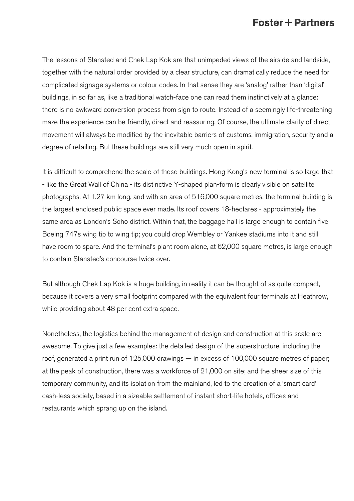The lessons of Stansted and Chek Lap Kok are that unimpeded views of the airside and landside, together with the natural order provided by a clear structure, can dramatically reduce the need for complicated signage systems or colour codes. In that sense they are 'analog' rather than 'digital' buildings, in so far as, like a traditional watch-face one can read them instinctively at a glance: there is no awkward conversion process from sign to route. Instead of a seemingly life-threatening maze the experience can be friendly, direct and reassuring. Of course, the ultimate clarity of direct movement will always be modified by the inevitable barriers of customs, immigration, security and a degree of retailing. But these buildings are still very much open in spirit.

It is difficult to comprehend the scale of these buildings. Hong Kong's new terminal is so large that - like the Great Wall of China - its distinctive Y-shaped plan-form is clearly visible on satellite photographs. At 1.27 km long, and with an area of 516,000 square metres, the terminal building is the largest enclosed public space ever made. Its roof covers 18-hectares - approximately the same area as London's Soho district. Within that, the baggage hall is large enough to contain five Boeing 747s wing tip to wing tip; you could drop Wembley or Yankee stadiums into it and still have room to spare. And the terminal's plant room alone, at 62,000 square metres, is large enough to contain Stansted's concourse twice over.

But although Chek Lap Kok is a huge building, in reality it can be thought of as quite compact, because it covers a very small footprint compared with the equivalent four terminals at Heathrow, while providing about 48 per cent extra space.

Nonetheless, the logistics behind the management of design and construction at this scale are awesome. To give just a few examples: the detailed design of the superstructure, including the roof, generated a print run of 125,000 drawings — in excess of 100,000 square metres of paper; at the peak of construction, there was a workforce of 21,000 on site; and the sheer size of this temporary community, and its isolation from the mainland, led to the creation of a 'smart card' cash-less society, based in a sizeable settlement of instant short-life hotels, offices and restaurants which sprang up on the island.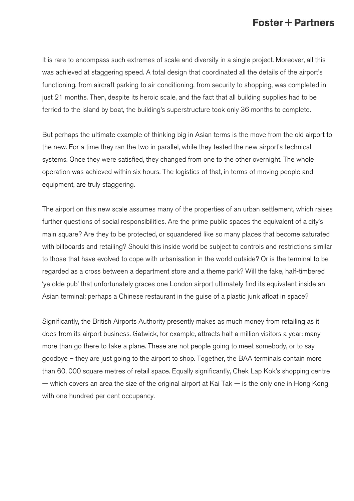It is rare to encompass such extremes of scale and diversity in a single project. Moreover, all this was achieved at staggering speed. A total design that coordinated all the details of the airport's functioning, from aircraft parking to air conditioning, from security to shopping, was completed in just 21 months. Then, despite its heroic scale, and the fact that all building supplies had to be ferried to the island by boat, the building's superstructure took only 36 months to complete.

But perhaps the ultimate example of thinking big in Asian terms is the move from the old airport to the new. For a time they ran the two in parallel, while they tested the new airport's technical systems. Once they were satisfied, they changed from one to the other overnight. The whole operation was achieved within six hours. The logistics of that, in terms of moving people and equipment, are truly staggering.

The airport on this new scale assumes many of the properties of an urban settlement, which raises further questions of social responsibilities. Are the prime public spaces the equivalent of a city's main square? Are they to be protected, or squandered like so many places that become saturated with billboards and retailing? Should this inside world be subject to controls and restrictions similar to those that have evolved to cope with urbanisation in the world outside? Or is the terminal to be regarded as a cross between a department store and a theme park? Will the fake, half-timbered 'ye olde pub' that unfortunately graces one London airport ultimately find its equivalent inside an Asian terminal: perhaps a Chinese restaurant in the guise of a plastic junk afloat in space?

Significantly, the British Airports Authority presently makes as much money from retailing as it does from its airport business. Gatwick, for example, attracts half a million visitors a year: many more than go there to take a plane. These are not people going to meet somebody, or to say goodbye – they are just going to the airport to shop. Together, the BAA terminals contain more than 60, 000 square metres of retail space. Equally significantly, Chek Lap Kok's shopping centre  $-$  which covers an area the size of the original airport at Kai Tak  $-$  is the only one in Hong Kong with one hundred per cent occupancy.